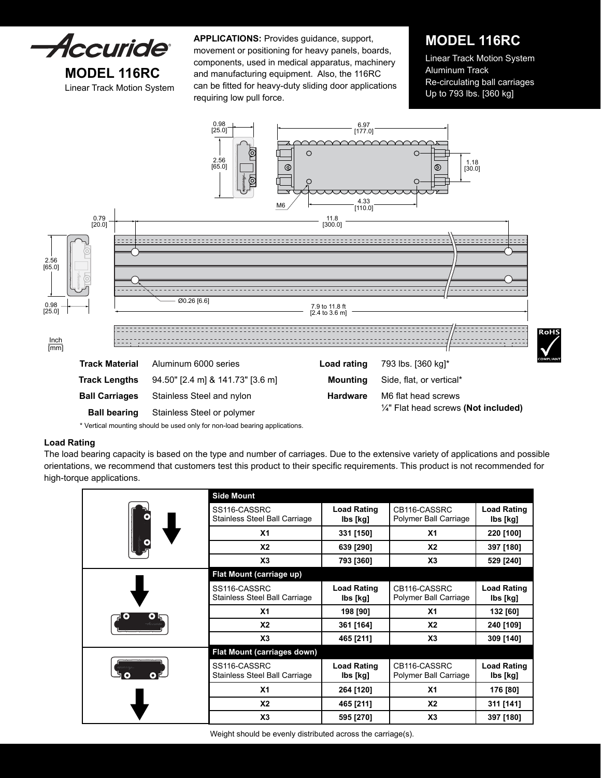

Linear Track Motion System can be fitted for heavy-duty sliding door applications<br>[360 kg] Up to 793 lbs. [360 kg] **APPLICATIONS:** Provides guidance, support, movement or positioning for heavy panels, boards, components, used in medical apparatus, machinery and manufacturing equipment. Also, the 116RC requiring low pull force.

# **MODEL 116RC**

Linear Track Motion System Aluminum Track Re-circulating ball carriages



\* Vertical mounting should be used only for non-load bearing applications.

### **Load Rating**

The load bearing capacity is based on the type and number of carriages. Due to the extensive variety of applications and possible orientations, we recommend that customers test this product to their specific requirements. This product is not recommended for high-torque applications.

| (e | <b>Side Mount</b>                             |                                |                                       |                                |
|----|-----------------------------------------------|--------------------------------|---------------------------------------|--------------------------------|
|    | SS116-CASSRC<br>Stainless Steel Ball Carriage | <b>Load Rating</b><br>lbs [kg] | CB116-CASSRC<br>Polymer Ball Carriage | <b>Load Rating</b><br>lbs [kg] |
|    | X <sub>1</sub>                                | 331 [150]                      | X <sub>1</sub>                        | 220 [100]                      |
|    | <b>X2</b>                                     | 639 [290]                      | <b>X2</b>                             | 397 [180]                      |
|    | X <sub>3</sub>                                | 793 [360]                      | X3                                    | 529 [240]                      |
|    | Flat Mount (carriage up)                      |                                |                                       |                                |
|    | SS116-CASSRC<br>Stainless Steel Ball Carriage | <b>Load Rating</b><br>lbs [kg] | CB116-CASSRC<br>Polymer Ball Carriage | <b>Load Rating</b><br>lbs [kg] |
|    | X <sub>1</sub>                                | 198 [90]                       | X <sub>1</sub>                        | 132 [60]                       |
|    | <b>X2</b>                                     | 361 [164]                      | X <sub>2</sub>                        | 240 [109]                      |
|    | X3                                            | 465 [211]                      | X3                                    | 309 [140]                      |
|    | Flat Mount (carriages down)                   |                                |                                       |                                |
|    | SS116-CASSRC<br>Stainless Steel Ball Carriage | <b>Load Rating</b><br>lbs [kg] | CB116-CASSRC<br>Polymer Ball Carriage | <b>Load Rating</b><br>lbs [kg] |
|    | X <sub>1</sub>                                | 264 [120]                      | X <sub>1</sub>                        | 176 [80]                       |
|    | <b>X2</b>                                     | 465 [211]                      | X <sub>2</sub>                        | 311 [141]                      |
|    | X <sub>3</sub>                                | 595 [270]                      | X3                                    | 397 [180]                      |

Weight should be evenly distributed across the carriage(s).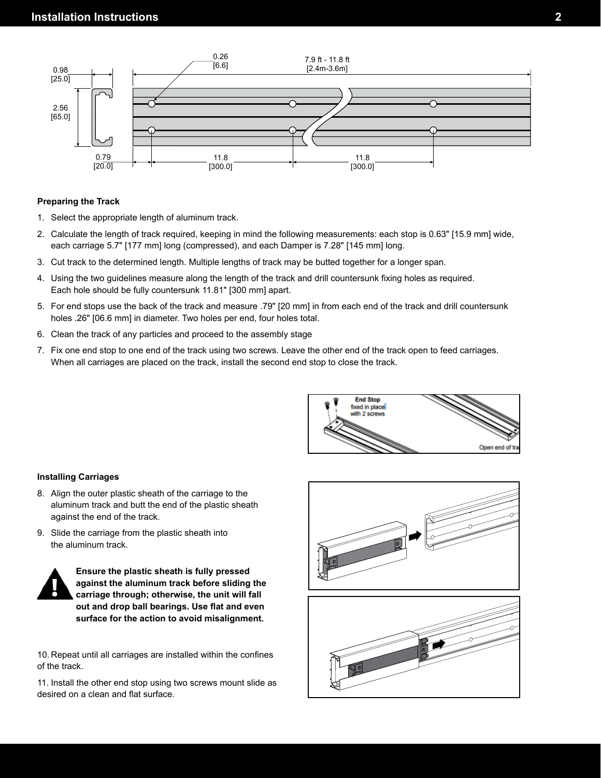

### **Preparing the Track**

- 1. Select the appropriate length of aluminum track.
- 2. Calculate the length of track required, keeping in mind the following measurements: each stop is 0.63" [15.9 mm] wide, each carriage 5.7" [177 mm] long (compressed), and each Damper is 7.28" [145 mm] long.
- 3. Cut track to the determined length. Multiple lengths of track may be butted together for a longer span.
- 4. Using the two guidelines measure along the length of the track and drill countersunk fixing holes as required. Each hole should be fully countersunk 11.81" [300 mm] apart.
- 5. For end stops use the back of the track and measure .79" [20 mm] in from each end of the track and drill countersunk holes .26" [06.6 mm] in diameter. Two holes per end, four holes total.
- 6. Clean the track of any particles and proceed to the assembly stage
- 7. Fix one end stop to one end of the track using two screws. Leave the other end of the track open to feed carriages. When all carriages are placed on the track, install the second end stop to close the track.



### **Installing Carriages**

- 8. Align the outer plastic sheath of the carriage to the aluminum track and butt the end of the plastic sheath against the end of the track.
- 9. Slide the carriage from the plastic sheath into the aluminum track.



**Ensure the plastic sheath is fully pressed against the aluminum track before sliding the carriage through; otherwise, the unit will fall out and drop ball bearings. Use flat and even surface for the action to avoid misalignment.**

10. Repeat until all carriages are installed within the confines of the track.

11. Install the other end stop using two screws mount slide as desired on a clean and flat surface.



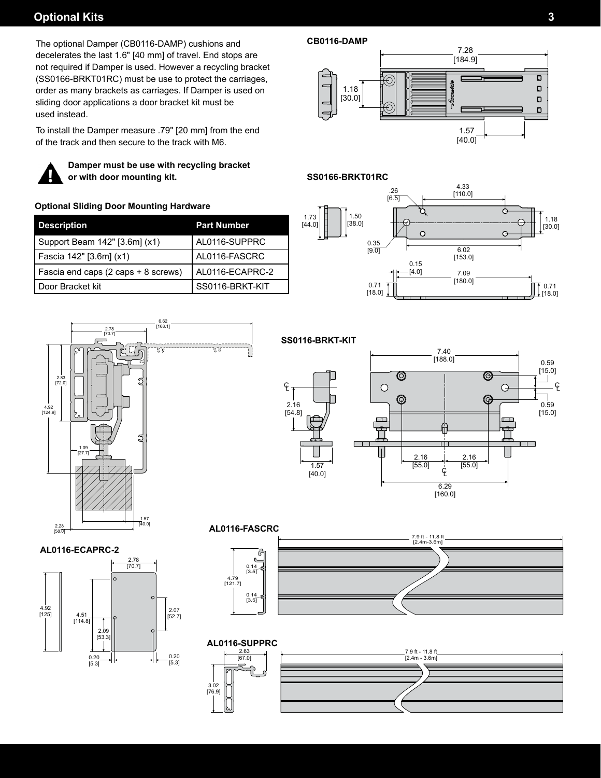# **Optional Kits**

The optional Damper (CB0116-DAMP) cushions and decelerates the last 1.6" [40 mm] of travel. End stops are not required if Damper is used. However a recycling bracket (SS0166-BRKT01RC) must be use to protect the carriages, order as many brackets as carriages. If Damper is used on sliding door applications a door bracket kit must be used instead.

To install the Damper measure .79" [20 mm] from the end of the track and then secure to the track with M6.



4.92  $[125]$ 

 $[114.8]$ 

2.09 [53.3]

0.20  $[5.3]$ 

**Damper must be use with recycling bracket or with door mounting kit.**

### **Optional Sliding Door Mounting Hardware**

| <b>Description</b>                  | <b>Part Number</b> |
|-------------------------------------|--------------------|
| Support Beam 142" [3.6m] (x1)       | AL0116-SUPPRC      |
| Fascia 142" [3.6m] (x1)             | AL0116-FASCRC      |
| Fascia end caps (2 caps + 8 screws) | AL0116-ECAPRC-2    |
| Door Bracket kit                    | SS0116-BRKT-KIT    |

### **CB0116-DAMP**



### **SS0166-BRKT01RC**





2.78<br>[70.7]

 $\begin{array}{|c|c|c|c|}\n\hline\n4.51 & & & 2.07 \\
\hline\n\vdots & & & 2.07 \\
\hline\n\end{array}$ 

0.20 [5.3]

**SS0116-BRKT-KIT**

1.57

2.16 [54.8]

CL







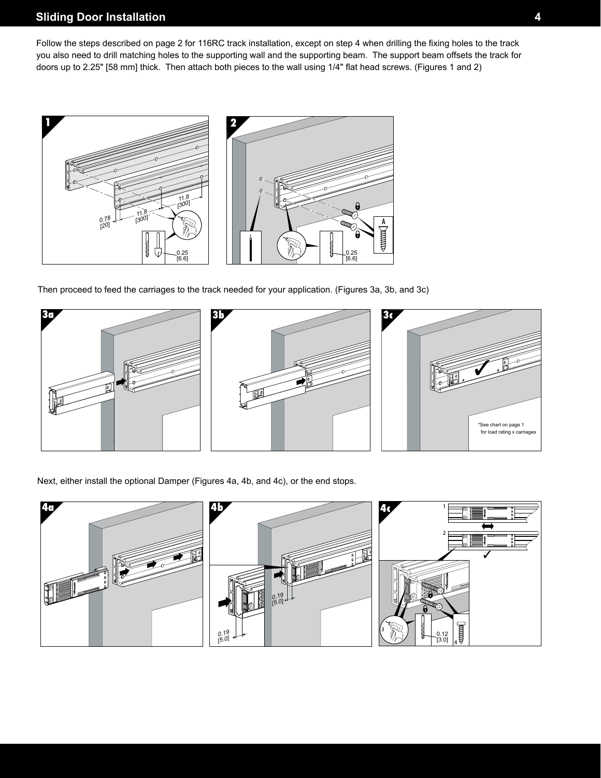# **Sliding Door Installation**

Follow the steps described on page 2 for 116RC track installation, except on step 4 when drilling the fixing holes to the track you also need to drill matching holes to the supporting wall and the supporting beam. The support beam offsets the track for doors up to 2.25" [58 mm] thick. Then attach both pieces to the wall using 1/4" flat head screws. (Figures 1 and 2)



Then proceed to feed the carriages to the track needed for your application. (Figures 3a, 3b, and 3c)



Next, either install the optional Damper (Figures 4a, 4b, and 4c), or the end stops.

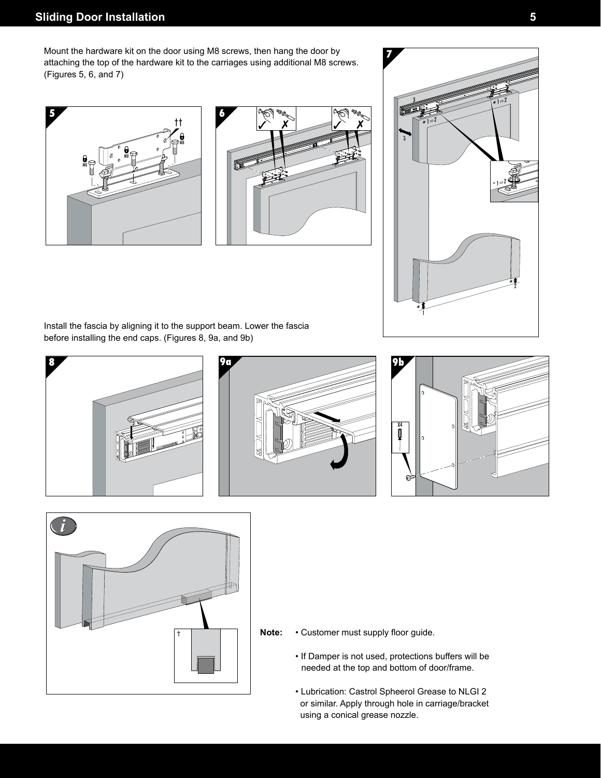# **Sliding Door Installation 5**

Mount the hardware kit on the door using M8 screws, then hang the door by attaching the top of the hardware kit to the carriages using additional M8 screws. (Figures 5, 6, and 7)







Install the fascia by aligning it to the support beam. Lower the fascia before installing the end caps. (Figures 8, 9a, and 9b)









- **Note:** Customer must supply floor guide.
	- If Damper is not used, protections buffers will be needed at the top and bottom of door/frame.
	- Lubrication: Castrol Spheerol Grease to NLGI 2 or similar. Apply through hole in carriage/bracket using a conical grease nozzle.